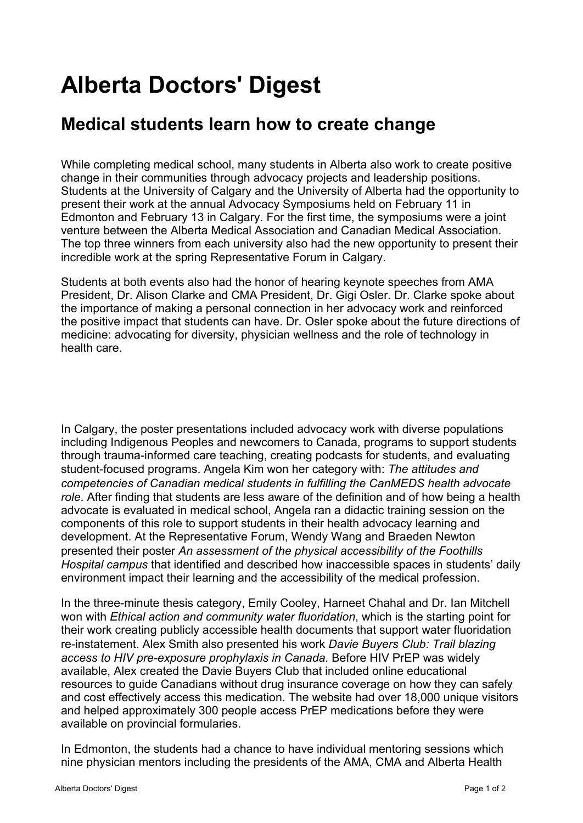## **Alberta Doctors' Digest**

## **[Medical students learn how to create change](http://add.albertadoctors.org/issues/may-june-2019/medical-students-learn-how-create-change/)**

While completing medical school, many students in Alberta also work to create positive change in their communities through advocacy projects and leadership positions. Students at the University of Calgary and the University of Alberta had the opportunity to present their work at the annual Advocacy Symposiums held on February 11 in Edmonton and February 13 in Calgary. For the first time, the symposiums were a joint venture between the Alberta Medical Association and Canadian Medical Association. The top three winners from each university also had the new opportunity to present their incredible work at the spring Representative Forum in Calgary.

Students at both events also had the honor of hearing keynote speeches from AMA President, Dr. Alison Clarke and CMA President, Dr. Gigi Osler. Dr. Clarke spoke about the importance of making a personal connection in her advocacy work and reinforced the positive impact that students can have. Dr. Osler spoke about the future directions of medicine: advocating for diversity, physician wellness and the role of technology in health care.

In Calgary, the poster presentations included advocacy work with diverse populations including Indigenous Peoples and newcomers to Canada, programs to support students through trauma-informed care teaching, creating podcasts for students, and evaluating student-focused programs. Angela Kim won her category with: The attitudes and competencies of Canadian medical students in fulfilling the CanMEDS health advocate role. After finding that students are less aware of the definition and of how being a health advocate is evaluated in medical school, Angela ran a didactic training session on the components of this role to support students in their health advocacy learning and development. At the Representative Forum, Wendy Wang and Braeden Newton presented their poster An assessment of the physical accessibility of the Foothills Hospital campus that identified and described how inaccessible spaces in students' daily environment impact their learning and the accessibility of the medical profession.

In the three-minute thesis category, Emily Cooley, Harneet Chahal and Dr. Ian Mitchell won with *Ethical action and community water fluoridation*, which is the starting point for their work creating publicly accessible health documents that support water fluoridation re-instatement. Alex Smith also presented his work Davie Buyers Club: Trail blazing access to HIV pre-exposure prophylaxis in Canada. Before HIV PrEP was widely available, Alex created the Davie Buyers Club that included online educational resources to guide Canadians without drug insurance coverage on how they can safely and cost effectively access this medication. The website had over 18,000 unique visitors and helped approximately 300 people access PrEP medications before they were available on provincial formularies.

In Edmonton, the students had a chance to have individual mentoring sessions which nine physician mentors including the presidents of the AMA, CMA and Alberta Health